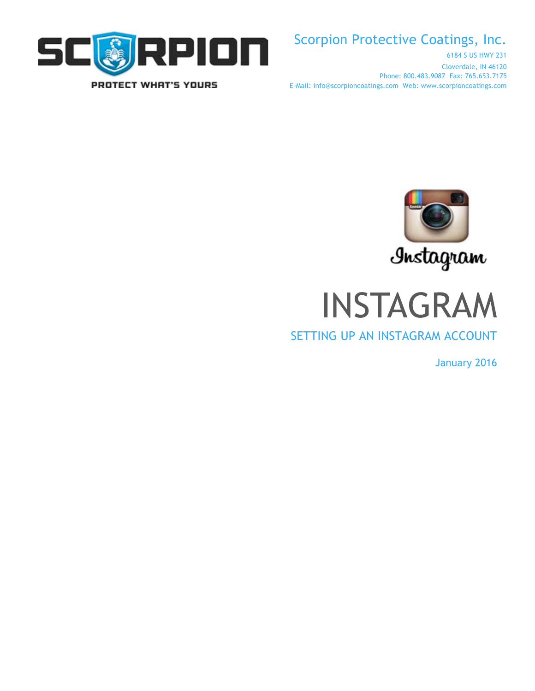

# Scorpion Protective Coatings, Inc.

6184 S US HWY 231 Cloverdale, IN 46120 Phone: 800.483.9087 Fax: 765.653.7175 E-Mail: info@scorpioncoatings.com Web: www.scorpioncoatings.com



INSTAGRAM

## SETTING UP AN INSTAGRAM ACCOUNT

January 2016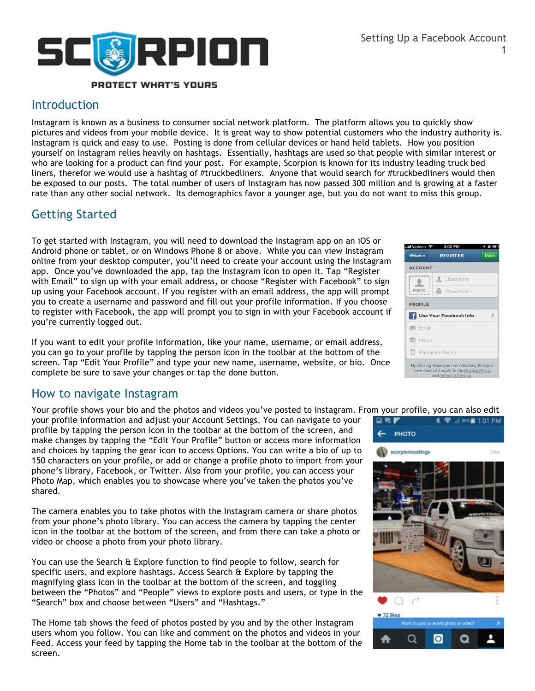

#### Introduction

Instagram is known as a business to consumer social network platform. The platform allows you to quickly show pictures and videos from your mobile device. It is great way to show potential customers who the industry authority is. Instagram is quick and easy to use. Posting is done from cellular devices or hand held tablets. How you position yourself on Instagram relies heavily on hashtags. Essentially, hashtags are used so that people with similar interest or who are looking for a product can find your post. For example, Scorpion is known for its industry leading truck bed liners, therefor we would use a hashtag of #truckbedliners. Anyone that would search for #truckbedliners would then be exposed to our posts. The total number of users of Instagram has now passed 300 million and is growing at a faster rate than any other social network. Its demographics favor a younger age, but you do not want to miss this group.

### Getting Started

To get started with Instagram, you will need to download the Instagram app on an iOS or Android phone or tablet, or on Windows Phone 8 or above. While you can view Instagram online from your desktop computer, you'll need to create your account using the Instagram app. Once you've downloaded the app, tap the Instagram icon to open it. Tap "Register with Email" to sign up with your email address, or choose "Register with Facebook" to sign up using your Facebook account. If you register with an email address, the app will prompt you to create a username and password and fill out your profile information. If you choose to register with Facebook, the app will prompt you to sign in with your Facebook account if you're currently logged out.

If you want to edit your profile information, like your name, username, or email address, you can go to your profile by tapping the person icon in the toolbar at the bottom of the screen. Tap "Edit Your Profile" and type your new name, username, website, or bio. Once complete be sure to save your changes or tap the done button.

### How to navigate Instagram

Your profile shows your bio and the photos and videos you've posted to Instagram. From your profile, you can also edit

your profile information and adjust your Account Settings. You can navigate to your profile by tapping the person icon in the toolbar at the bottom of the screen, and make changes by tapping the "Edit Your Profile" button or access more information and choices by tapping the gear icon to access Options. You can write a bio of up to 150 characters on your profile, or add or change a profile photo to import from your phone's library, Facebook, or Twitter. Also from your profile, you can access your Photo Map, which enables you to showcase where you've taken the photos you've shared.

The camera enables you to take photos with the Instagram camera or share photos from your phone's photo library. You can access the camera by tapping the center icon in the toolbar at the bottom of the screen, and from there can take a photo or video or choose a photo from your photo library.

You can use the Search & Explore function to find people to follow, search for specific users, and explore hashtags. Access Search & Explore by tapping the magnifying glass icon in the toolbar at the bottom of the screen, and toggling between the "Photos" and "People" views to explore posts and users, or type in the "Search" box and choose between "Users" and "Hashtags."

The Home tab shows the feed of photos posted by you and by the other Instagram users whom you follow. You can like and comment on the photos and videos in your Feed. Access your feed by tapping the Home tab in the toolbar at the bottom of the screen.

| untl Verizon - 주 | 3:02 PM                |      |
|------------------|------------------------|------|
| Welcome          | <b>REGISTER</b>        | Done |
| <b>ACCOUNT</b>   |                        |      |
|                  | Username               |      |
| PHOTO            | <b>A</b> Password      |      |
| <b>PROFILE</b>   |                        |      |
|                  | Use Your Facebook Info |      |
| $\approx$ Email  |                        |      |
| <b>FR</b> Name   |                        |      |
| Phone (optional) |                        |      |